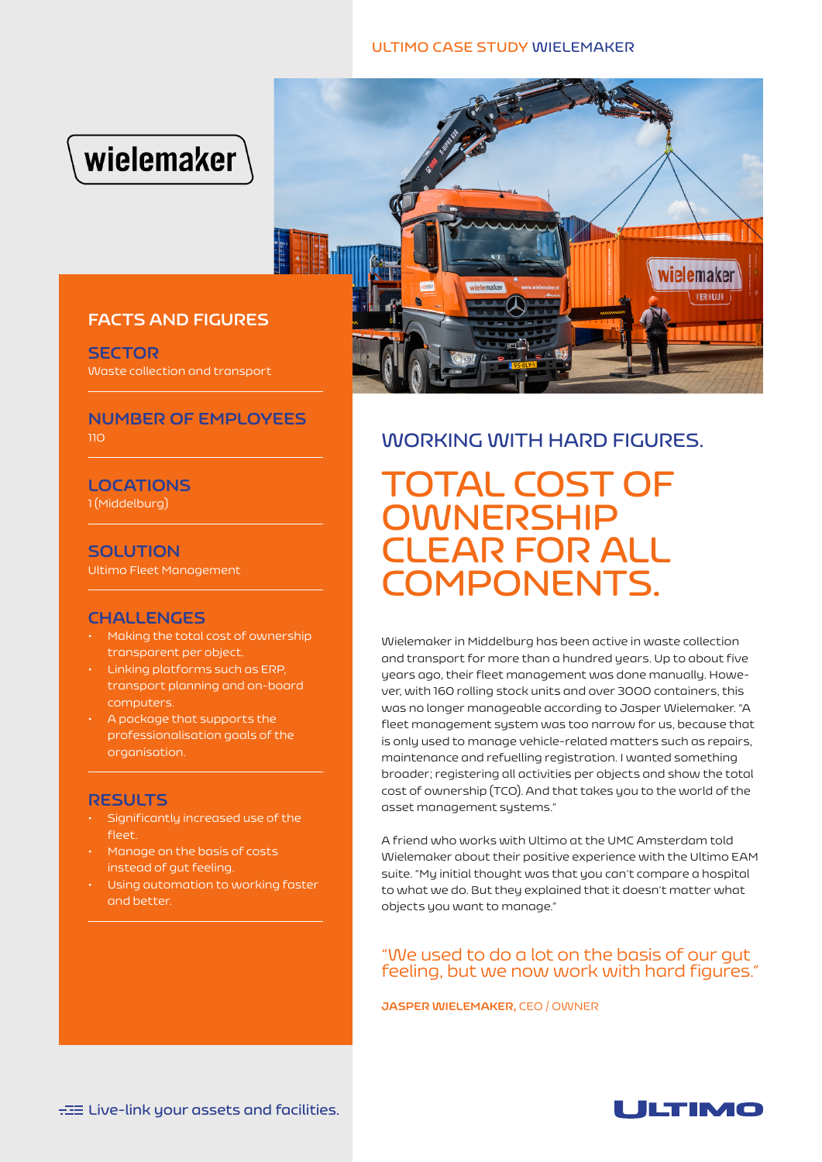#### **ULTIMO CASE STUDY WIELEMAKER**





## **FACTS AND FIGURES**

**SECTOR** Waste collection and transport

### **NUMBER OF EMPLOYEES**  $110<sub>1</sub>$

**LOCATIONS** 1 (Middelburg)

**SOLUTION**

Ultimo Fleet Management

## **CHALLENGES**

- Making the total cost of ownership transparent per object.
- Linking platforms such as ERP, transport planning and on-board computers.
- A package that supports the professionalisation goals of the organisation.

#### **RESULTS**

- Significantly increased use of the fleet.
- Manage on the basis of costs instead of gut feeling.
- Using automation to working faster and better.

# **WORKING WITH HARD FIGURES.**

**TOTAL COST OF OWNERSHIP CLEAR FOR ALL COMPONENTS.**

Wielemaker in Middelburg has been active in waste collection and transport for more than a hundred years. Up to about five years ago, their fleet management was done manually. However, with 160 rolling stock units and over 3000 containers, this was no longer manageable according to Jasper Wielemaker. "A fleet management system was too narrow for us, because that is only used to manage vehicle-related matters such as repairs, maintenance and refuelling registration. I wanted something broader; registering all activities per objects and show the total cost of ownership (TCO). And that takes you to the world of the asset management systems."

A friend who works with Ultimo at the UMC Amsterdam told Wielemaker about their positive experience with the Ultimo EAM suite. "My initial thought was that you can't compare a hospital to what we do. But they explained that it doesn't matter what objects you want to manage."

## "We used to do a lot on the basis of our gut feeling, but we now work with hard figures."

**JASPER WIELEMAKER,** CEO / OWNER